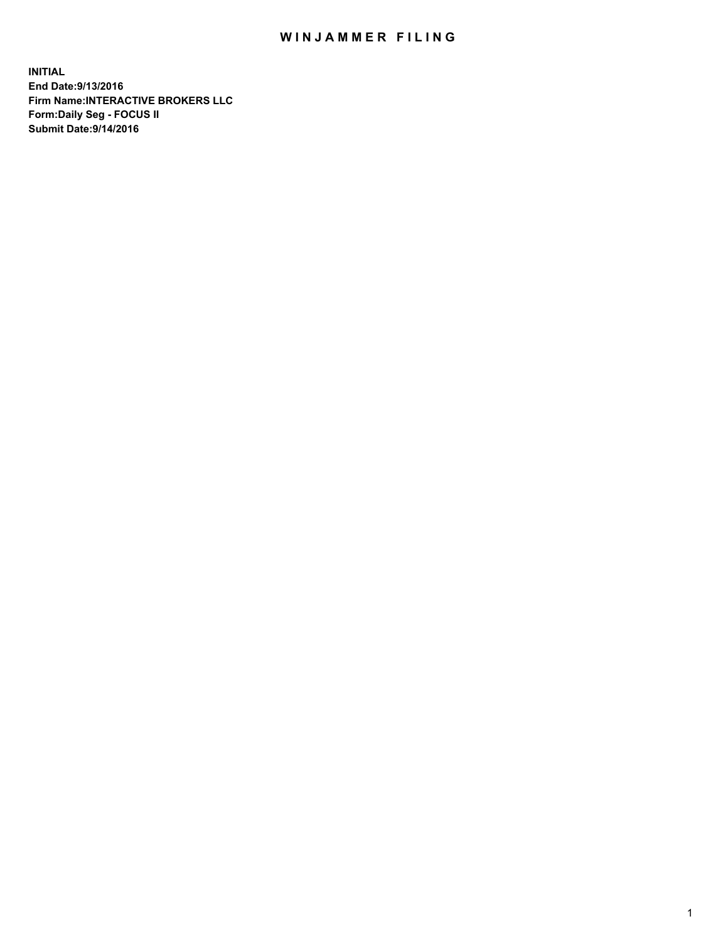## WIN JAMMER FILING

**INITIAL End Date:9/13/2016 Firm Name:INTERACTIVE BROKERS LLC Form:Daily Seg - FOCUS II Submit Date:9/14/2016**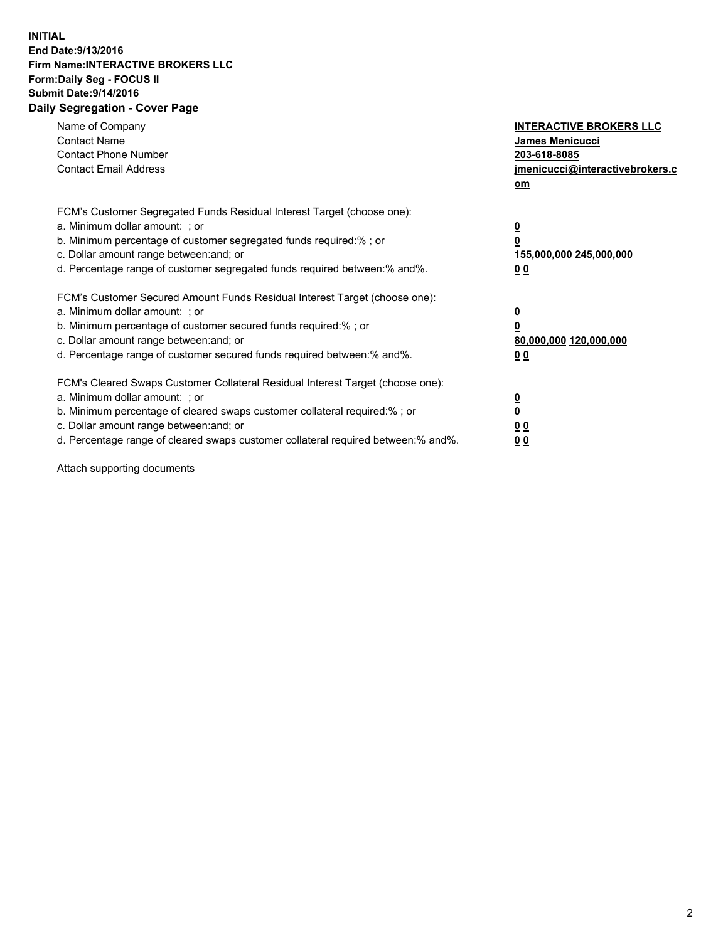## **INITIAL End Date:9/13/2016 Firm Name:INTERACTIVE BROKERS LLC Form:Daily Seg - FOCUS II Submit Date:9/14/2016 Daily Segregation - Cover Page**

| Name of Company<br><b>Contact Name</b><br><b>Contact Phone Number</b><br><b>Contact Email Address</b>                                                                                                                                                                                                                          | <b>INTERACTIVE BROKERS LLC</b><br><b>James Menicucci</b><br>203-618-8085<br>jmenicucci@interactivebrokers.c<br>om |
|--------------------------------------------------------------------------------------------------------------------------------------------------------------------------------------------------------------------------------------------------------------------------------------------------------------------------------|-------------------------------------------------------------------------------------------------------------------|
| FCM's Customer Segregated Funds Residual Interest Target (choose one):<br>a. Minimum dollar amount: ; or<br>b. Minimum percentage of customer segregated funds required:% ; or<br>c. Dollar amount range between: and; or<br>d. Percentage range of customer segregated funds required between: % and %.                       | $\overline{\mathbf{0}}$<br>0<br>155,000,000 245,000,000<br>00                                                     |
| FCM's Customer Secured Amount Funds Residual Interest Target (choose one):<br>a. Minimum dollar amount: ; or<br>b. Minimum percentage of customer secured funds required:%; or<br>c. Dollar amount range between: and; or<br>d. Percentage range of customer secured funds required between: % and %.                          | $\overline{\mathbf{0}}$<br>0<br>80,000,000 120,000,000<br>00                                                      |
| FCM's Cleared Swaps Customer Collateral Residual Interest Target (choose one):<br>a. Minimum dollar amount: ; or<br>b. Minimum percentage of cleared swaps customer collateral required:% ; or<br>c. Dollar amount range between: and; or<br>d. Percentage range of cleared swaps customer collateral required between:% and%. | $\overline{\mathbf{0}}$<br>$\overline{\mathbf{0}}$<br>00<br>0 <sub>0</sub>                                        |

Attach supporting documents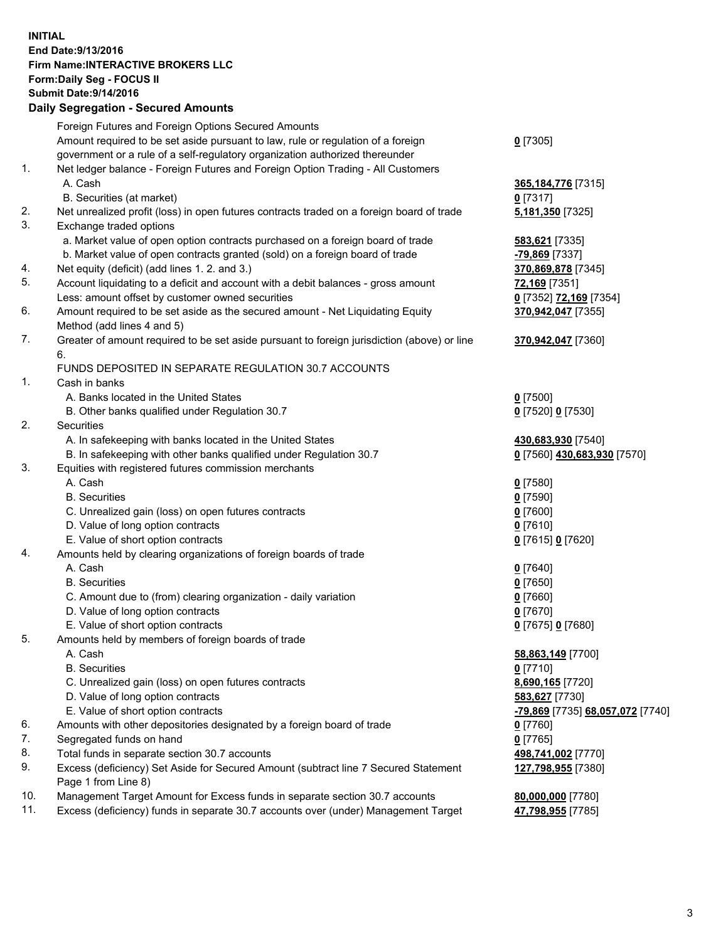## **INITIAL End Date:9/13/2016 Firm Name:INTERACTIVE BROKERS LLC Form:Daily Seg - FOCUS II Submit Date:9/14/2016 Daily Segregation - Secured Amounts**

|     | Daily Jegregation - Jeculed Aniounts                                                                       |                                  |
|-----|------------------------------------------------------------------------------------------------------------|----------------------------------|
|     | Foreign Futures and Foreign Options Secured Amounts                                                        |                                  |
|     | Amount required to be set aside pursuant to law, rule or regulation of a foreign                           | $0$ [7305]                       |
|     | government or a rule of a self-regulatory organization authorized thereunder                               |                                  |
| 1.  | Net ledger balance - Foreign Futures and Foreign Option Trading - All Customers                            |                                  |
|     | A. Cash                                                                                                    | 365, 184, 776 [7315]             |
|     | B. Securities (at market)                                                                                  | 0 [7317]                         |
| 2.  | Net unrealized profit (loss) in open futures contracts traded on a foreign board of trade                  | 5,181,350 [7325]                 |
| 3.  | Exchange traded options                                                                                    |                                  |
|     | a. Market value of open option contracts purchased on a foreign board of trade                             | 583,621 [7335]                   |
|     | b. Market value of open contracts granted (sold) on a foreign board of trade                               | $-79,869$ [7337]                 |
| 4.  | Net equity (deficit) (add lines 1. 2. and 3.)                                                              | 370,869,878 [7345]               |
| 5.  | Account liquidating to a deficit and account with a debit balances - gross amount                          | 72,169 [7351]                    |
|     | Less: amount offset by customer owned securities                                                           | 0 [7352] 72,169 [7354]           |
| 6.  | Amount required to be set aside as the secured amount - Net Liquidating Equity                             | 370,942,047 [7355]               |
|     | Method (add lines 4 and 5)                                                                                 |                                  |
| 7.  | Greater of amount required to be set aside pursuant to foreign jurisdiction (above) or line                | 370,942,047 [7360]               |
|     | 6.                                                                                                         |                                  |
|     | FUNDS DEPOSITED IN SEPARATE REGULATION 30.7 ACCOUNTS                                                       |                                  |
| 1.  | Cash in banks                                                                                              |                                  |
|     | A. Banks located in the United States                                                                      | $0$ [7500]                       |
|     | B. Other banks qualified under Regulation 30.7                                                             | 0 [7520] 0 [7530]                |
| 2.  | Securities                                                                                                 |                                  |
|     | A. In safekeeping with banks located in the United States                                                  | 430,683,930 [7540]               |
|     | B. In safekeeping with other banks qualified under Regulation 30.7                                         | 0 [7560] 430,683,930 [7570]      |
| 3.  | Equities with registered futures commission merchants                                                      |                                  |
|     | A. Cash                                                                                                    | $0$ [7580]                       |
|     | <b>B.</b> Securities                                                                                       | $0$ [7590]                       |
|     | C. Unrealized gain (loss) on open futures contracts                                                        | $0$ [7600]                       |
|     | D. Value of long option contracts                                                                          | $0$ [7610]                       |
|     | E. Value of short option contracts                                                                         | 0 [7615] 0 [7620]                |
| 4.  | Amounts held by clearing organizations of foreign boards of trade                                          |                                  |
|     | A. Cash                                                                                                    | $0$ [7640]                       |
|     | <b>B.</b> Securities                                                                                       | $0$ [7650]                       |
|     | C. Amount due to (from) clearing organization - daily variation                                            | $0$ [7660]                       |
|     | D. Value of long option contracts                                                                          | $0$ [7670]                       |
|     | E. Value of short option contracts                                                                         | 0 [7675] 0 [7680]                |
| 5.  | Amounts held by members of foreign boards of trade                                                         |                                  |
|     | A. Cash                                                                                                    | 58,863,149 [7700]                |
|     | <b>B.</b> Securities                                                                                       | $0$ [7710]                       |
|     | C. Unrealized gain (loss) on open futures contracts                                                        | 8,690,165 [7720]                 |
|     | D. Value of long option contracts                                                                          | 583,627 [7730]                   |
|     | E. Value of short option contracts                                                                         | -79,869 [7735] 68,057,072 [7740] |
| 6.  | Amounts with other depositories designated by a foreign board of trade                                     | 0 [7760]                         |
| 7.  | Segregated funds on hand                                                                                   | $0$ [7765]                       |
| 8.  | Total funds in separate section 30.7 accounts                                                              | 498,741,002 [7770]               |
| 9.  | Excess (deficiency) Set Aside for Secured Amount (subtract line 7 Secured Statement<br>Page 1 from Line 8) | 127,798,955 [7380]               |
| 10. | Management Target Amount for Excess funds in separate section 30.7 accounts                                | 80,000,000 [7780]                |
| 11. | Excess (deficiency) funds in separate 30.7 accounts over (under) Management Target                         | 47,798,955 [7785]                |
|     |                                                                                                            |                                  |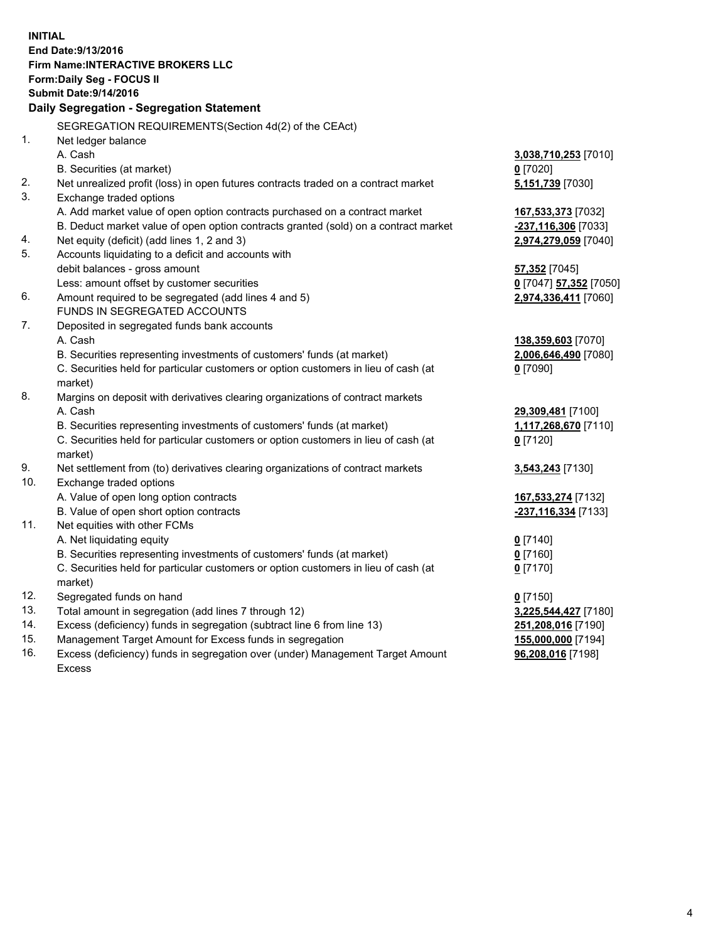**INITIAL End Date:9/13/2016 Firm Name:INTERACTIVE BROKERS LLC Form:Daily Seg - FOCUS II Submit Date:9/14/2016 Daily Segregation - Segregation Statement** SEGREGATION REQUIREMENTS(Section 4d(2) of the CEAct) 1. Net ledger balance A. Cash **3,038,710,253** [7010] B. Securities (at market) **0** [7020] 2. Net unrealized profit (loss) in open futures contracts traded on a contract market **5,151,739** [7030] 3. Exchange traded options A. Add market value of open option contracts purchased on a contract market **167,533,373** [7032] B. Deduct market value of open option contracts granted (sold) on a contract market **-237,116,306** [7033] 4. Net equity (deficit) (add lines 1, 2 and 3) **2,974,279,059** [7040] 5. Accounts liquidating to a deficit and accounts with debit balances - gross amount **57,352** [7045] Less: amount offset by customer securities **0** [7047] **57,352** [7050] 6. Amount required to be segregated (add lines 4 and 5) **2,974,336,411** [7060] FUNDS IN SEGREGATED ACCOUNTS 7. Deposited in segregated funds bank accounts A. Cash **138,359,603** [7070] B. Securities representing investments of customers' funds (at market) **2,006,646,490** [7080] C. Securities held for particular customers or option customers in lieu of cash (at market) **0** [7090] 8. Margins on deposit with derivatives clearing organizations of contract markets A. Cash **29,309,481** [7100] B. Securities representing investments of customers' funds (at market) **1,117,268,670** [7110] C. Securities held for particular customers or option customers in lieu of cash (at market) **0** [7120] 9. Net settlement from (to) derivatives clearing organizations of contract markets **3,543,243** [7130] 10. Exchange traded options A. Value of open long option contracts **167,533,274** [7132] B. Value of open short option contracts **-237,116,334** [7133] 11. Net equities with other FCMs A. Net liquidating equity **0** [7140] B. Securities representing investments of customers' funds (at market) **0** [7160] C. Securities held for particular customers or option customers in lieu of cash (at market) **0** [7170] 12. Segregated funds on hand **0** [7150] 13. Total amount in segregation (add lines 7 through 12) **3,225,544,427** [7180] 14. Excess (deficiency) funds in segregation (subtract line 6 from line 13) **251,208,016** [7190] 15. Management Target Amount for Excess funds in segregation **155,000,000** [7194] **96,208,016** [7198]

16. Excess (deficiency) funds in segregation over (under) Management Target Amount Excess